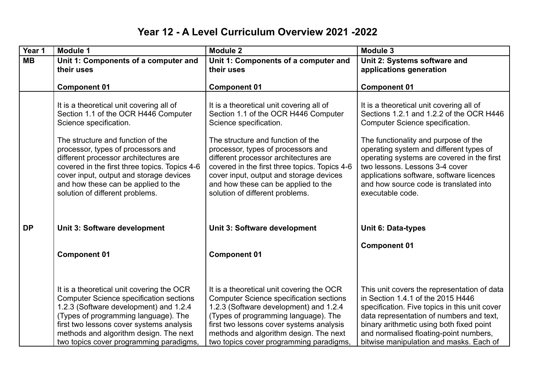## **Year 12 - A Level Curriculum Overview 2021 -2022**

| Year 1    | Module 1                                                                                                                                                                                                                                                                                                                                                                                             | <b>Module 2</b>                                                                                                                                                                                                                                                                                                                                                                                      | <b>Module 3</b>                                                                                                                                                                                                                                                                                                                                                                                      |
|-----------|------------------------------------------------------------------------------------------------------------------------------------------------------------------------------------------------------------------------------------------------------------------------------------------------------------------------------------------------------------------------------------------------------|------------------------------------------------------------------------------------------------------------------------------------------------------------------------------------------------------------------------------------------------------------------------------------------------------------------------------------------------------------------------------------------------------|------------------------------------------------------------------------------------------------------------------------------------------------------------------------------------------------------------------------------------------------------------------------------------------------------------------------------------------------------------------------------------------------------|
| <b>MB</b> | Unit 1: Components of a computer and<br>their uses                                                                                                                                                                                                                                                                                                                                                   | Unit 1: Components of a computer and<br>their uses                                                                                                                                                                                                                                                                                                                                                   | Unit 2: Systems software and<br>applications generation                                                                                                                                                                                                                                                                                                                                              |
|           | <b>Component 01</b>                                                                                                                                                                                                                                                                                                                                                                                  | <b>Component 01</b>                                                                                                                                                                                                                                                                                                                                                                                  | <b>Component 01</b>                                                                                                                                                                                                                                                                                                                                                                                  |
|           | It is a theoretical unit covering all of<br>Section 1.1 of the OCR H446 Computer<br>Science specification.<br>The structure and function of the<br>processor, types of processors and<br>different processor architectures are<br>covered in the first three topics. Topics 4-6<br>cover input, output and storage devices<br>and how these can be applied to the<br>solution of different problems. | It is a theoretical unit covering all of<br>Section 1.1 of the OCR H446 Computer<br>Science specification.<br>The structure and function of the<br>processor, types of processors and<br>different processor architectures are<br>covered in the first three topics. Topics 4-6<br>cover input, output and storage devices<br>and how these can be applied to the<br>solution of different problems. | It is a theoretical unit covering all of<br>Sections 1.2.1 and 1.2.2 of the OCR H446<br>Computer Science specification.<br>The functionality and purpose of the<br>operating system and different types of<br>operating systems are covered in the first<br>two lessons. Lessons 3-4 cover<br>applications software, software licences<br>and how source code is translated into<br>executable code. |
| <b>DP</b> | Unit 3: Software development                                                                                                                                                                                                                                                                                                                                                                         | Unit 3: Software development                                                                                                                                                                                                                                                                                                                                                                         | <b>Unit 6: Data-types</b>                                                                                                                                                                                                                                                                                                                                                                            |
|           | <b>Component 01</b>                                                                                                                                                                                                                                                                                                                                                                                  | <b>Component 01</b>                                                                                                                                                                                                                                                                                                                                                                                  | <b>Component 01</b>                                                                                                                                                                                                                                                                                                                                                                                  |
|           | It is a theoretical unit covering the OCR<br><b>Computer Science specification sections</b><br>1.2.3 (Software development) and 1.2.4<br>(Types of programming language). The<br>first two lessons cover systems analysis<br>methods and algorithm design. The next<br>two topics cover programming paradigms.                                                                                       | It is a theoretical unit covering the OCR<br><b>Computer Science specification sections</b><br>1.2.3 (Software development) and 1.2.4<br>(Types of programming language). The<br>first two lessons cover systems analysis<br>methods and algorithm design. The next<br>two topics cover programming paradigms,                                                                                       | This unit covers the representation of data<br>in Section 1.4.1 of the 2015 H446<br>specification. Five topics in this unit cover<br>data representation of numbers and text,<br>binary arithmetic using both fixed point<br>and normalised floating-point numbers,<br>bitwise manipulation and masks. Each of                                                                                       |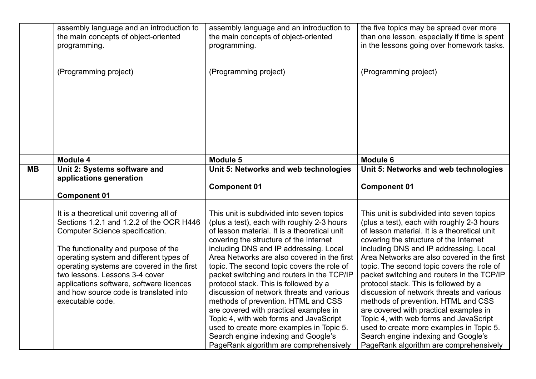|           | assembly language and an introduction to<br>the main concepts of object-oriented | assembly language and an introduction to<br>the main concepts of object-oriented    | the five topics may be spread over more<br>than one lesson, especially if time is spent |
|-----------|----------------------------------------------------------------------------------|-------------------------------------------------------------------------------------|-----------------------------------------------------------------------------------------|
|           | programming.                                                                     | programming.                                                                        | in the lessons going over homework tasks.                                               |
|           |                                                                                  |                                                                                     |                                                                                         |
|           | (Programming project)                                                            | (Programming project)                                                               | (Programming project)                                                                   |
|           |                                                                                  |                                                                                     |                                                                                         |
|           |                                                                                  |                                                                                     |                                                                                         |
|           |                                                                                  |                                                                                     |                                                                                         |
|           |                                                                                  |                                                                                     |                                                                                         |
|           |                                                                                  |                                                                                     |                                                                                         |
|           |                                                                                  |                                                                                     |                                                                                         |
|           | Module 4                                                                         | Module 5                                                                            | <b>Module 6</b>                                                                         |
| <b>MB</b> | Unit 2: Systems software and                                                     | Unit 5: Networks and web technologies                                               | Unit 5: Networks and web technologies                                                   |
|           | applications generation                                                          |                                                                                     |                                                                                         |
|           |                                                                                  | <b>Component 01</b>                                                                 | <b>Component 01</b>                                                                     |
|           | <b>Component 01</b>                                                              |                                                                                     |                                                                                         |
|           | It is a theoretical unit covering all of                                         | This unit is subdivided into seven topics                                           | This unit is subdivided into seven topics                                               |
|           | Sections 1.2.1 and 1.2.2 of the OCR H446                                         | (plus a test), each with roughly 2-3 hours                                          | (plus a test), each with roughly 2-3 hours                                              |
|           | Computer Science specification.                                                  | of lesson material. It is a theoretical unit                                        | of lesson material. It is a theoretical unit                                            |
|           |                                                                                  | covering the structure of the Internet                                              | covering the structure of the Internet                                                  |
|           | The functionality and purpose of the                                             | including DNS and IP addressing. Local                                              | including DNS and IP addressing. Local                                                  |
|           | operating system and different types of                                          | Area Networks are also covered in the first                                         | Area Networks are also covered in the first                                             |
|           | operating systems are covered in the first<br>two lessons. Lessons 3-4 cover     | topic. The second topic covers the role of                                          | topic. The second topic covers the role of                                              |
|           | applications software, software licences                                         | packet switching and routers in the TCP/IP<br>protocol stack. This is followed by a | packet switching and routers in the TCP/IP<br>protocol stack. This is followed by a     |
|           | and how source code is translated into                                           | discussion of network threats and various                                           | discussion of network threats and various                                               |
|           | executable code.                                                                 | methods of prevention. HTML and CSS                                                 | methods of prevention. HTML and CSS                                                     |
|           |                                                                                  | are covered with practical examples in                                              | are covered with practical examples in                                                  |
|           |                                                                                  | Topic 4, with web forms and JavaScript                                              | Topic 4, with web forms and JavaScript                                                  |
|           |                                                                                  | used to create more examples in Topic 5.                                            | used to create more examples in Topic 5.                                                |
|           |                                                                                  | Search engine indexing and Google's                                                 | Search engine indexing and Google's                                                     |
|           |                                                                                  | PageRank algorithm are comprehensively                                              | PageRank algorithm are comprehensively                                                  |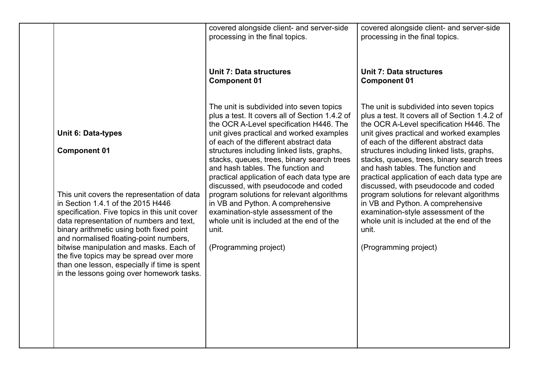|                                                                                                                                                                                                                           | covered alongside client- and server-side<br>processing in the final topics.                                                                                                                                                                                   | covered alongside client- and server-side<br>processing in the final topics.                                                                                                                                                                                   |
|---------------------------------------------------------------------------------------------------------------------------------------------------------------------------------------------------------------------------|----------------------------------------------------------------------------------------------------------------------------------------------------------------------------------------------------------------------------------------------------------------|----------------------------------------------------------------------------------------------------------------------------------------------------------------------------------------------------------------------------------------------------------------|
|                                                                                                                                                                                                                           | <b>Unit 7: Data structures</b><br><b>Component 01</b>                                                                                                                                                                                                          | <b>Unit 7: Data structures</b><br><b>Component 01</b>                                                                                                                                                                                                          |
| <b>Unit 6: Data-types</b>                                                                                                                                                                                                 | The unit is subdivided into seven topics<br>plus a test. It covers all of Section 1.4.2 of<br>the OCR A-Level specification H446. The<br>unit gives practical and worked examples                                                                              | The unit is subdivided into seven topics<br>plus a test. It covers all of Section 1.4.2 of<br>the OCR A-Level specification H446. The<br>unit gives practical and worked examples                                                                              |
| <b>Component 01</b>                                                                                                                                                                                                       | of each of the different abstract data<br>structures including linked lists, graphs,<br>stacks, queues, trees, binary search trees<br>and hash tables. The function and<br>practical application of each data type are<br>discussed, with pseudocode and coded | of each of the different abstract data<br>structures including linked lists, graphs,<br>stacks, queues, trees, binary search trees<br>and hash tables. The function and<br>practical application of each data type are<br>discussed, with pseudocode and coded |
| This unit covers the representation of data<br>in Section 1.4.1 of the 2015 H446<br>specification. Five topics in this unit cover<br>data representation of numbers and text,<br>binary arithmetic using both fixed point | program solutions for relevant algorithms<br>in VB and Python. A comprehensive<br>examination-style assessment of the<br>whole unit is included at the end of the<br>unit.                                                                                     | program solutions for relevant algorithms<br>in VB and Python. A comprehensive<br>examination-style assessment of the<br>whole unit is included at the end of the<br>unit.                                                                                     |
| and normalised floating-point numbers,<br>bitwise manipulation and masks. Each of<br>the five topics may be spread over more<br>than one lesson, especially if time is spent<br>in the lessons going over homework tasks. | (Programming project)                                                                                                                                                                                                                                          | (Programming project)                                                                                                                                                                                                                                          |
|                                                                                                                                                                                                                           |                                                                                                                                                                                                                                                                |                                                                                                                                                                                                                                                                |
|                                                                                                                                                                                                                           |                                                                                                                                                                                                                                                                |                                                                                                                                                                                                                                                                |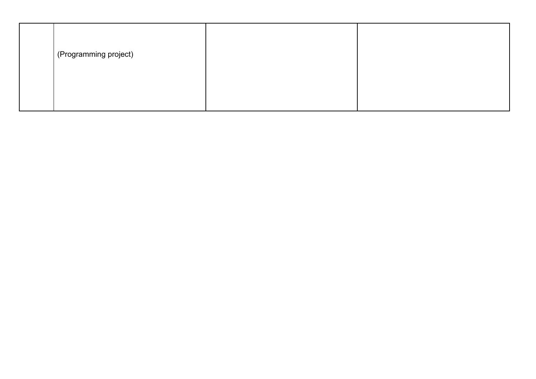| (Programming project) |  |
|-----------------------|--|
|                       |  |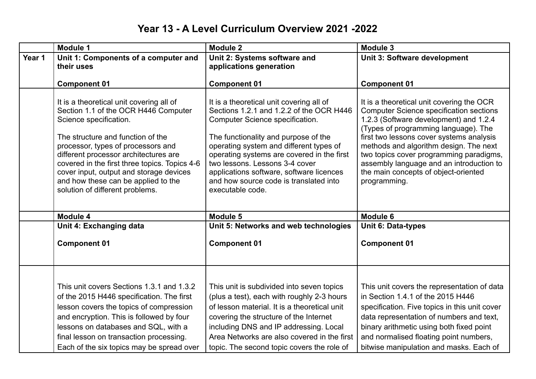## **Year 13 - A Level Curriculum Overview 2021 -2022**

|        | <b>Module 1</b>                                                                                                                                                                                                                                                                                                                                                                                      | <b>Module 2</b>                                                                                                                                                                                                                                                                                                                                                                                      | Module 3                                                                                                                                                                                                                                                                                                                                                                                                           |
|--------|------------------------------------------------------------------------------------------------------------------------------------------------------------------------------------------------------------------------------------------------------------------------------------------------------------------------------------------------------------------------------------------------------|------------------------------------------------------------------------------------------------------------------------------------------------------------------------------------------------------------------------------------------------------------------------------------------------------------------------------------------------------------------------------------------------------|--------------------------------------------------------------------------------------------------------------------------------------------------------------------------------------------------------------------------------------------------------------------------------------------------------------------------------------------------------------------------------------------------------------------|
| Year 1 | Unit 1: Components of a computer and<br>their uses                                                                                                                                                                                                                                                                                                                                                   | Unit 2: Systems software and<br>applications generation                                                                                                                                                                                                                                                                                                                                              | Unit 3: Software development                                                                                                                                                                                                                                                                                                                                                                                       |
|        |                                                                                                                                                                                                                                                                                                                                                                                                      |                                                                                                                                                                                                                                                                                                                                                                                                      |                                                                                                                                                                                                                                                                                                                                                                                                                    |
|        | <b>Component 01</b>                                                                                                                                                                                                                                                                                                                                                                                  | <b>Component 01</b>                                                                                                                                                                                                                                                                                                                                                                                  | <b>Component 01</b>                                                                                                                                                                                                                                                                                                                                                                                                |
|        | It is a theoretical unit covering all of<br>Section 1.1 of the OCR H446 Computer<br>Science specification.<br>The structure and function of the<br>processor, types of processors and<br>different processor architectures are<br>covered in the first three topics. Topics 4-6<br>cover input, output and storage devices<br>and how these can be applied to the<br>solution of different problems. | It is a theoretical unit covering all of<br>Sections 1.2.1 and 1.2.2 of the OCR H446<br>Computer Science specification.<br>The functionality and purpose of the<br>operating system and different types of<br>operating systems are covered in the first<br>two lessons. Lessons 3-4 cover<br>applications software, software licences<br>and how source code is translated into<br>executable code. | It is a theoretical unit covering the OCR<br><b>Computer Science specification sections</b><br>1.2.3 (Software development) and 1.2.4<br>(Types of programming language). The<br>first two lessons cover systems analysis<br>methods and algorithm design. The next<br>two topics cover programming paradigms,<br>assembly language and an introduction to<br>the main concepts of object-oriented<br>programming. |
|        | Module 4                                                                                                                                                                                                                                                                                                                                                                                             | Module 5                                                                                                                                                                                                                                                                                                                                                                                             | Module 6                                                                                                                                                                                                                                                                                                                                                                                                           |
|        | Unit 4: Exchanging data                                                                                                                                                                                                                                                                                                                                                                              | Unit 5: Networks and web technologies                                                                                                                                                                                                                                                                                                                                                                | <b>Unit 6: Data-types</b>                                                                                                                                                                                                                                                                                                                                                                                          |
|        | <b>Component 01</b>                                                                                                                                                                                                                                                                                                                                                                                  | <b>Component 01</b>                                                                                                                                                                                                                                                                                                                                                                                  | <b>Component 01</b>                                                                                                                                                                                                                                                                                                                                                                                                |
|        | This unit covers Sections 1.3.1 and 1.3.2<br>of the 2015 H446 specification. The first<br>lesson covers the topics of compression<br>and encryption. This is followed by four<br>lessons on databases and SQL, with a<br>final lesson on transaction processing.<br>Each of the six topics may be spread over                                                                                        | This unit is subdivided into seven topics<br>(plus a test), each with roughly 2-3 hours<br>of lesson material. It is a theoretical unit<br>covering the structure of the Internet<br>including DNS and IP addressing. Local<br>Area Networks are also covered in the first<br>topic. The second topic covers the role of                                                                             | This unit covers the representation of data<br>in Section 1.4.1 of the 2015 H446<br>specification. Five topics in this unit cover<br>data representation of numbers and text,<br>binary arithmetic using both fixed point<br>and normalised floating point numbers,<br>bitwise manipulation and masks. Each of                                                                                                     |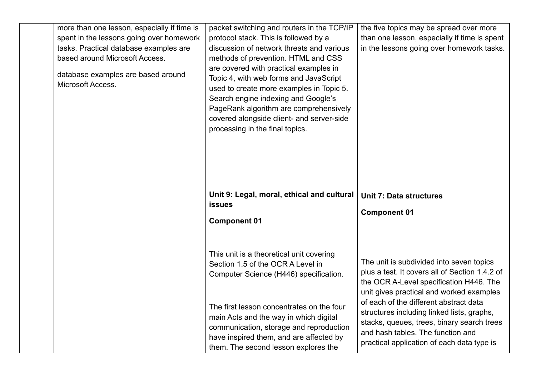| more than one lesson, especially if time is<br>spent in the lessons going over homework<br>tasks. Practical database examples are<br>based around Microsoft Access.<br>database examples are based around<br>Microsoft Access. | packet switching and routers in the TCP/IP<br>protocol stack. This is followed by a<br>discussion of network threats and various<br>methods of prevention. HTML and CSS<br>are covered with practical examples in<br>Topic 4, with web forms and JavaScript<br>used to create more examples in Topic 5.<br>Search engine indexing and Google's<br>PageRank algorithm are comprehensively<br>covered alongside client- and server-side<br>processing in the final topics. | the five topics may be spread over more<br>than one lesson, especially if time is spent<br>in the lessons going over homework tasks.                                                                                  |
|--------------------------------------------------------------------------------------------------------------------------------------------------------------------------------------------------------------------------------|--------------------------------------------------------------------------------------------------------------------------------------------------------------------------------------------------------------------------------------------------------------------------------------------------------------------------------------------------------------------------------------------------------------------------------------------------------------------------|-----------------------------------------------------------------------------------------------------------------------------------------------------------------------------------------------------------------------|
|                                                                                                                                                                                                                                | Unit 9: Legal, moral, ethical and cultural<br><b>issues</b><br><b>Component 01</b>                                                                                                                                                                                                                                                                                                                                                                                       | <b>Unit 7: Data structures</b><br><b>Component 01</b>                                                                                                                                                                 |
|                                                                                                                                                                                                                                | This unit is a theoretical unit covering<br>Section 1.5 of the OCR A Level in<br>Computer Science (H446) specification.                                                                                                                                                                                                                                                                                                                                                  | The unit is subdivided into seven topics<br>plus a test. It covers all of Section 1.4.2 of<br>the OCR A-Level specification H446. The<br>unit gives practical and worked examples                                     |
|                                                                                                                                                                                                                                | The first lesson concentrates on the four<br>main Acts and the way in which digital<br>communication, storage and reproduction<br>have inspired them, and are affected by<br>them. The second lesson explores the                                                                                                                                                                                                                                                        | of each of the different abstract data<br>structures including linked lists, graphs,<br>stacks, queues, trees, binary search trees<br>and hash tables. The function and<br>practical application of each data type is |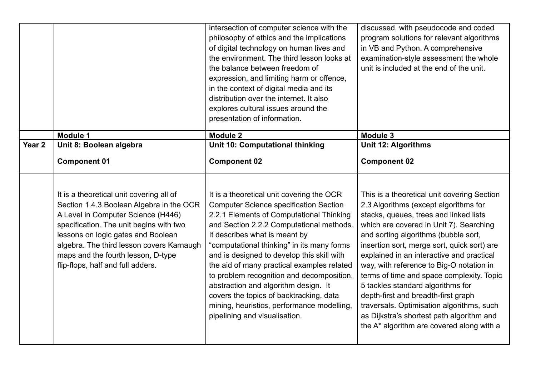|                   |                                                                                                                                                                                                                                                                                                                                     | intersection of computer science with the<br>philosophy of ethics and the implications<br>of digital technology on human lives and<br>the environment. The third lesson looks at<br>the balance between freedom of<br>expression, and limiting harm or offence,<br>in the context of digital media and its<br>distribution over the internet. It also<br>explores cultural issues around the<br>presentation of information.                                                                                                                                                 | discussed, with pseudocode and coded<br>program solutions for relevant algorithms<br>in VB and Python. A comprehensive<br>examination-style assessment the whole<br>unit is included at the end of the unit.                                                                                                                                                                                                                                                                                                                                                                                                              |
|-------------------|-------------------------------------------------------------------------------------------------------------------------------------------------------------------------------------------------------------------------------------------------------------------------------------------------------------------------------------|------------------------------------------------------------------------------------------------------------------------------------------------------------------------------------------------------------------------------------------------------------------------------------------------------------------------------------------------------------------------------------------------------------------------------------------------------------------------------------------------------------------------------------------------------------------------------|---------------------------------------------------------------------------------------------------------------------------------------------------------------------------------------------------------------------------------------------------------------------------------------------------------------------------------------------------------------------------------------------------------------------------------------------------------------------------------------------------------------------------------------------------------------------------------------------------------------------------|
|                   |                                                                                                                                                                                                                                                                                                                                     |                                                                                                                                                                                                                                                                                                                                                                                                                                                                                                                                                                              |                                                                                                                                                                                                                                                                                                                                                                                                                                                                                                                                                                                                                           |
| Year <sub>2</sub> | <b>Module 1</b><br>Unit 8: Boolean algebra                                                                                                                                                                                                                                                                                          | <b>Module 2</b><br><b>Unit 10: Computational thinking</b>                                                                                                                                                                                                                                                                                                                                                                                                                                                                                                                    | Module 3<br><b>Unit 12: Algorithms</b>                                                                                                                                                                                                                                                                                                                                                                                                                                                                                                                                                                                    |
|                   | <b>Component 01</b>                                                                                                                                                                                                                                                                                                                 | <b>Component 02</b>                                                                                                                                                                                                                                                                                                                                                                                                                                                                                                                                                          | <b>Component 02</b>                                                                                                                                                                                                                                                                                                                                                                                                                                                                                                                                                                                                       |
|                   | It is a theoretical unit covering all of<br>Section 1.4.3 Boolean Algebra in the OCR<br>A Level in Computer Science (H446)<br>specification. The unit begins with two<br>lessons on logic gates and Boolean<br>algebra. The third lesson covers Karnaugh<br>maps and the fourth lesson, D-type<br>flip-flops, half and full adders. | It is a theoretical unit covering the OCR<br><b>Computer Science specification Section</b><br>2.2.1 Elements of Computational Thinking<br>and Section 2.2.2 Computational methods.<br>It describes what is meant by<br>"computational thinking" in its many forms<br>and is designed to develop this skill with<br>the aid of many practical examples related<br>to problem recognition and decomposition,<br>abstraction and algorithm design. It<br>covers the topics of backtracking, data<br>mining, heuristics, performance modelling,<br>pipelining and visualisation. | This is a theoretical unit covering Section<br>2.3 Algorithms (except algorithms for<br>stacks, queues, trees and linked lists<br>which are covered in Unit 7). Searching<br>and sorting algorithms (bubble sort,<br>insertion sort, merge sort, quick sort) are<br>explained in an interactive and practical<br>way, with reference to Big-O notation in<br>terms of time and space complexity. Topic<br>5 tackles standard algorithms for<br>depth-first and breadth-first graph<br>traversals. Optimisation algorithms, such<br>as Dijkstra's shortest path algorithm and<br>the A* algorithm are covered along with a |